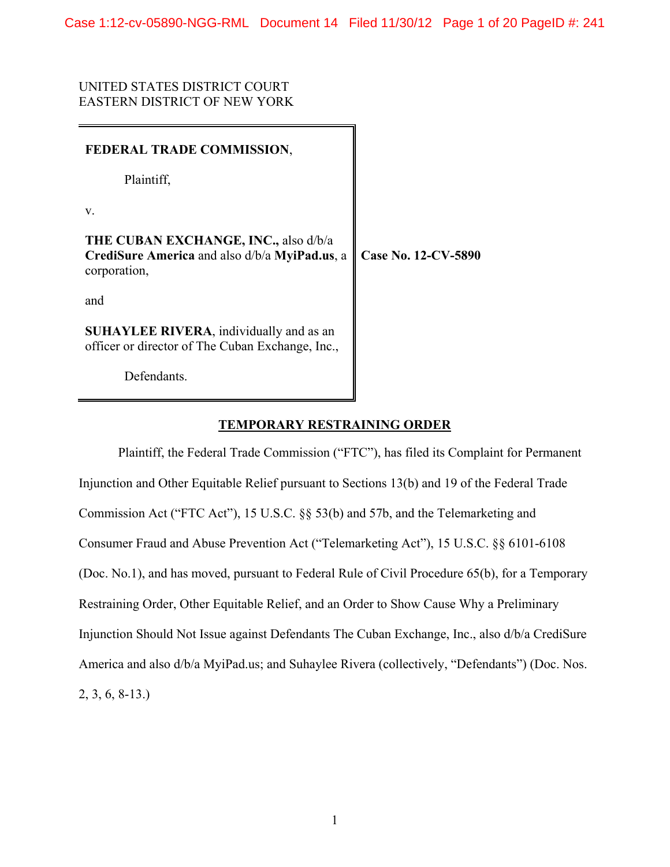UNITED STATES DISTRICT COURT EASTERN DISTRICT OF NEW YORK

| FEDERAL TRADE COMMISSION,                                                                             |                     |
|-------------------------------------------------------------------------------------------------------|---------------------|
| Plaintiff,                                                                                            |                     |
| V.                                                                                                    |                     |
| THE CUBAN EXCHANGE, INC., also d/b/a<br>CrediSure America and also d/b/a MyiPad.us, a<br>corporation, | Case No. 12-CV-5890 |
| and                                                                                                   |                     |
| <b>SUHAYLEE RIVERA</b> , individually and as an<br>officer or director of The Cuban Exchange, Inc.,   |                     |
| Defendants.                                                                                           |                     |

## **TEMPORARY RESTRAINING ORDER**

 Plaintiff, the Federal Trade Commission ("FTC"), has filed its Complaint for Permanent Injunction and Other Equitable Relief pursuant to Sections 13(b) and 19 of the Federal Trade Commission Act ("FTC Act"), 15 U.S.C. §§ 53(b) and 57b, and the Telemarketing and Consumer Fraud and Abuse Prevention Act ("Telemarketing Act"), 15 U.S.C. §§ 6101-6108 (Doc. No.1), and has moved, pursuant to Federal Rule of Civil Procedure 65(b), for a Temporary Restraining Order, Other Equitable Relief, and an Order to Show Cause Why a Preliminary Injunction Should Not Issue against Defendants The Cuban Exchange, Inc., also d/b/a CrediSure America and also d/b/a MyiPad.us; and Suhaylee Rivera (collectively, "Defendants") (Doc. Nos. 2, 3, 6, 8-13.)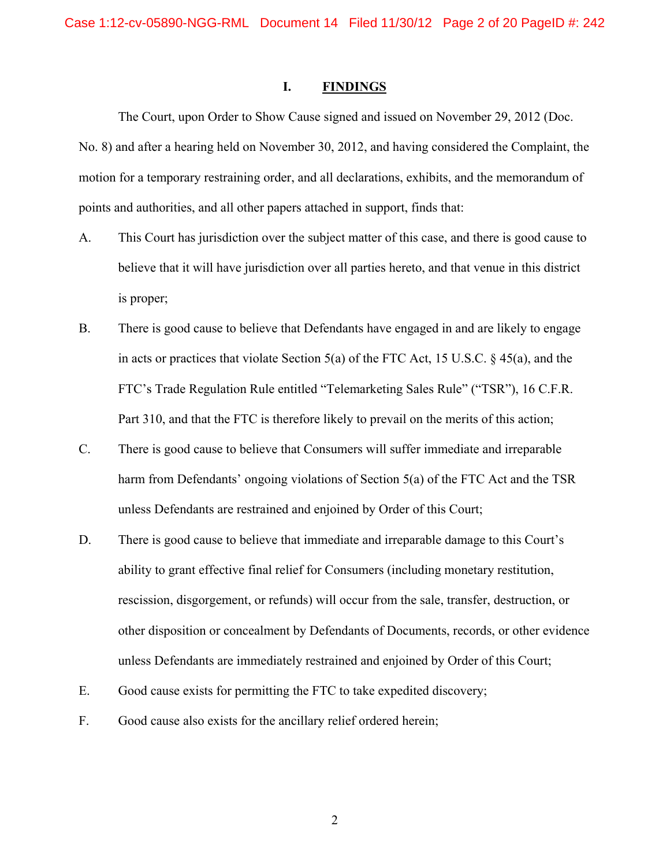#### **I. FINDINGS**

 The Court, upon Order to Show Cause signed and issued on November 29, 2012 (Doc. No. 8) and after a hearing held on November 30, 2012, and having considered the Complaint, the motion for a temporary restraining order, and all declarations, exhibits, and the memorandum of points and authorities, and all other papers attached in support, finds that:

- A. This Court has jurisdiction over the subject matter of this case, and there is good cause to believe that it will have jurisdiction over all parties hereto, and that venue in this district is proper;
- B. There is good cause to believe that Defendants have engaged in and are likely to engage in acts or practices that violate Section 5(a) of the FTC Act, 15 U.S.C. § 45(a), and the FTC's Trade Regulation Rule entitled "Telemarketing Sales Rule" ("TSR"), 16 C.F.R. Part 310, and that the FTC is therefore likely to prevail on the merits of this action;
- C. There is good cause to believe that Consumers will suffer immediate and irreparable harm from Defendants' ongoing violations of Section 5(a) of the FTC Act and the TSR unless Defendants are restrained and enjoined by Order of this Court;
- D. There is good cause to believe that immediate and irreparable damage to this Court's ability to grant effective final relief for Consumers (including monetary restitution, rescission, disgorgement, or refunds) will occur from the sale, transfer, destruction, or other disposition or concealment by Defendants of Documents, records, or other evidence unless Defendants are immediately restrained and enjoined by Order of this Court;
- E. Good cause exists for permitting the FTC to take expedited discovery;
- F. Good cause also exists for the ancillary relief ordered herein;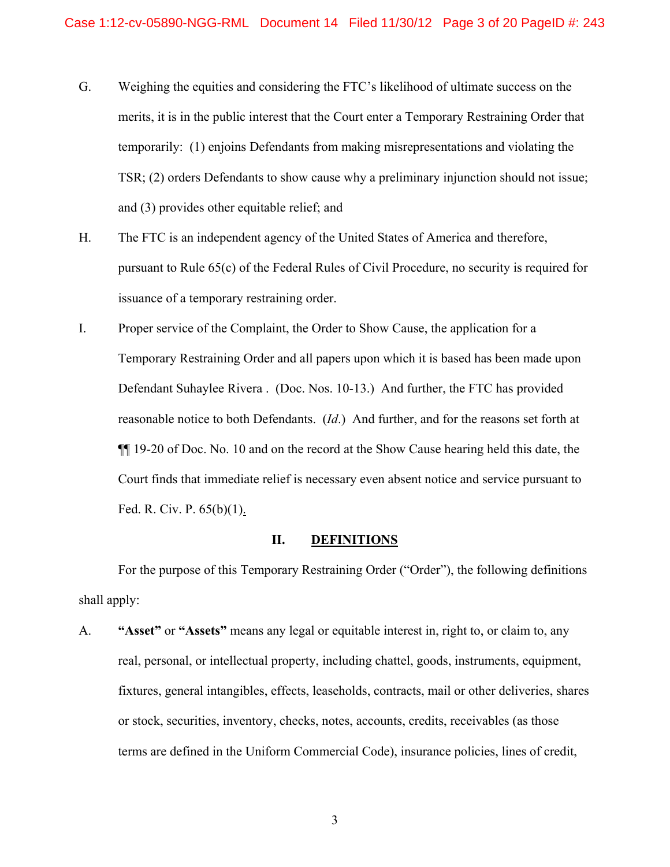- G. Weighing the equities and considering the FTC's likelihood of ultimate success on the merits, it is in the public interest that the Court enter a Temporary Restraining Order that temporarily: (1) enjoins Defendants from making misrepresentations and violating the TSR; (2) orders Defendants to show cause why a preliminary injunction should not issue; and (3) provides other equitable relief; and
- H. The FTC is an independent agency of the United States of America and therefore, pursuant to Rule 65(c) of the Federal Rules of Civil Procedure, no security is required for issuance of a temporary restraining order.
- I. Proper service of the Complaint, the Order to Show Cause, the application for a Temporary Restraining Order and all papers upon which it is based has been made upon Defendant Suhaylee Rivera . (Doc. Nos. 10-13.) And further, the FTC has provided reasonable notice to both Defendants. (*Id*.) And further, and for the reasons set forth at ¶¶ 19-20 of Doc. No. 10 and on the record at the Show Cause hearing held this date, the Court finds that immediate relief is necessary even absent notice and service pursuant to Fed. R. Civ. P. 65(b)(1).

#### **II. DEFINITIONS**

 For the purpose of this Temporary Restraining Order ("Order"), the following definitions shall apply:

A. **"Asset"** or **"Assets"** means any legal or equitable interest in, right to, or claim to, any real, personal, or intellectual property, including chattel, goods, instruments, equipment, fixtures, general intangibles, effects, leaseholds, contracts, mail or other deliveries, shares or stock, securities, inventory, checks, notes, accounts, credits, receivables (as those terms are defined in the Uniform Commercial Code), insurance policies, lines of credit,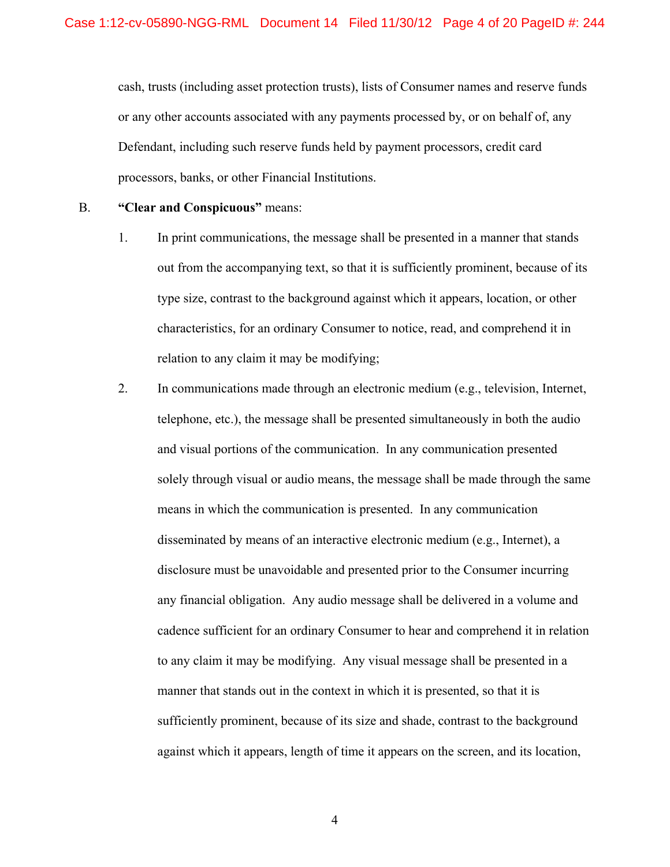cash, trusts (including asset protection trusts), lists of Consumer names and reserve funds or any other accounts associated with any payments processed by, or on behalf of, any Defendant, including such reserve funds held by payment processors, credit card processors, banks, or other Financial Institutions.

#### B. **"Clear and Conspicuous"** means:

- 1. In print communications, the message shall be presented in a manner that stands out from the accompanying text, so that it is sufficiently prominent, because of its type size, contrast to the background against which it appears, location, or other characteristics, for an ordinary Consumer to notice, read, and comprehend it in relation to any claim it may be modifying;
- 2. In communications made through an electronic medium (e.g., television, Internet, telephone, etc.), the message shall be presented simultaneously in both the audio and visual portions of the communication. In any communication presented solely through visual or audio means, the message shall be made through the same means in which the communication is presented. In any communication disseminated by means of an interactive electronic medium (e.g., Internet), a disclosure must be unavoidable and presented prior to the Consumer incurring any financial obligation. Any audio message shall be delivered in a volume and cadence sufficient for an ordinary Consumer to hear and comprehend it in relation to any claim it may be modifying. Any visual message shall be presented in a manner that stands out in the context in which it is presented, so that it is sufficiently prominent, because of its size and shade, contrast to the background against which it appears, length of time it appears on the screen, and its location,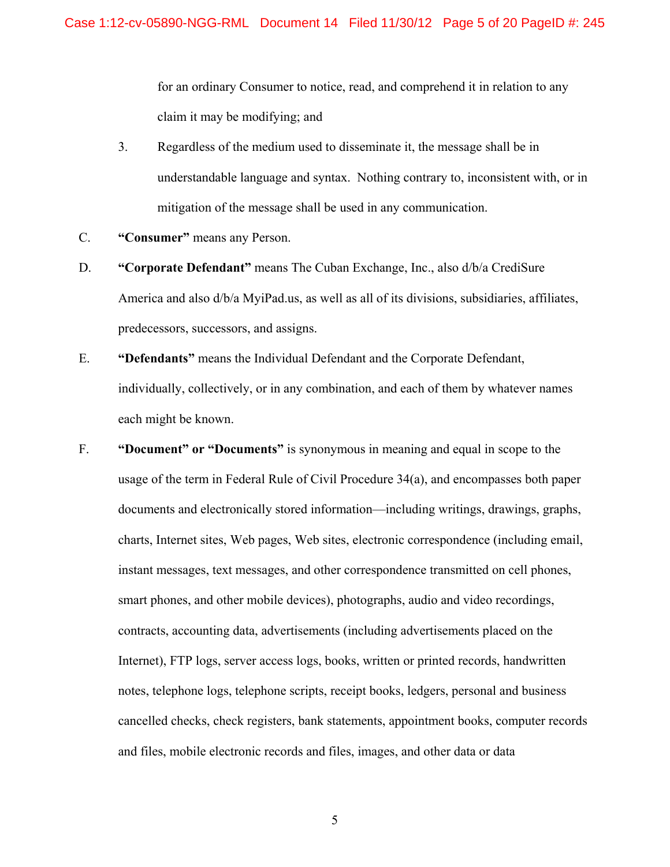for an ordinary Consumer to notice, read, and comprehend it in relation to any claim it may be modifying; and

- 3. Regardless of the medium used to disseminate it, the message shall be in understandable language and syntax. Nothing contrary to, inconsistent with, or in mitigation of the message shall be used in any communication.
- C. **"Consumer"** means any Person.
- D. **"Corporate Defendant"** means The Cuban Exchange, Inc., also d/b/a CrediSure America and also d/b/a MyiPad.us, as well as all of its divisions, subsidiaries, affiliates, predecessors, successors, and assigns.
- E. **"Defendants"** means the Individual Defendant and the Corporate Defendant, individually, collectively, or in any combination, and each of them by whatever names each might be known.
- F. **"Document" or "Documents"** is synonymous in meaning and equal in scope to the usage of the term in Federal Rule of Civil Procedure 34(a), and encompasses both paper documents and electronically stored information—including writings, drawings, graphs, charts, Internet sites, Web pages, Web sites, electronic correspondence (including email, instant messages, text messages, and other correspondence transmitted on cell phones, smart phones, and other mobile devices), photographs, audio and video recordings, contracts, accounting data, advertisements (including advertisements placed on the Internet), FTP logs, server access logs, books, written or printed records, handwritten notes, telephone logs, telephone scripts, receipt books, ledgers, personal and business cancelled checks, check registers, bank statements, appointment books, computer records and files, mobile electronic records and files, images, and other data or data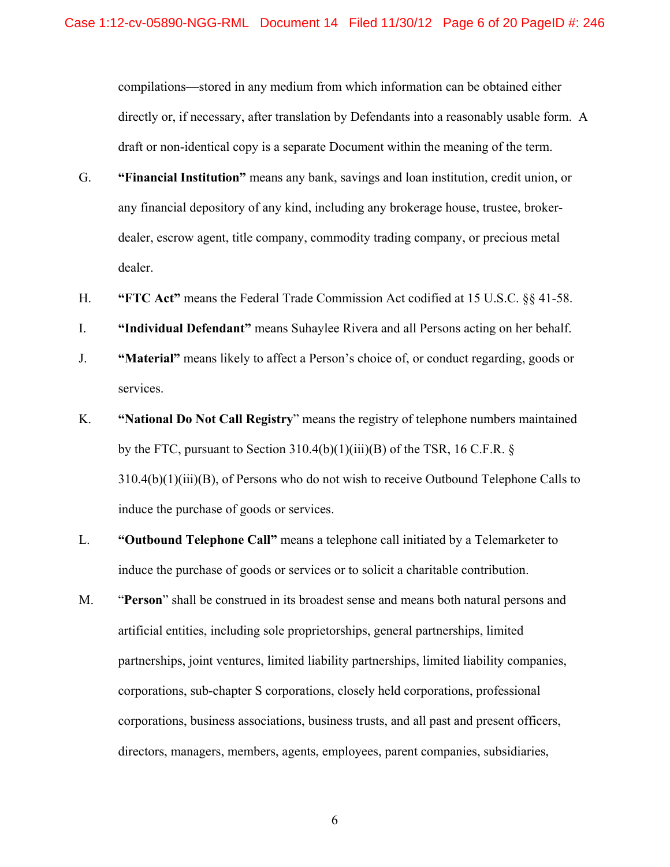compilations—stored in any medium from which information can be obtained either directly or, if necessary, after translation by Defendants into a reasonably usable form. A draft or non-identical copy is a separate Document within the meaning of the term.

- G. **"Financial Institution"** means any bank, savings and loan institution, credit union, or any financial depository of any kind, including any brokerage house, trustee, brokerdealer, escrow agent, title company, commodity trading company, or precious metal dealer.
- H. **"FTC Act"** means the Federal Trade Commission Act codified at 15 U.S.C. §§ 41-58.
- I. **"Individual Defendant"** means Suhaylee Rivera and all Persons acting on her behalf.
- J. **"Material"** means likely to affect a Person's choice of, or conduct regarding, goods or services.
- K. **"National Do Not Call Registry**" means the registry of telephone numbers maintained by the FTC, pursuant to Section  $310.4(b)(1)(iii)(B)$  of the TSR, 16 C.F.R. § 310.4(b)(1)(iii)(B), of Persons who do not wish to receive Outbound Telephone Calls to induce the purchase of goods or services.
- L. **"Outbound Telephone Call"** means a telephone call initiated by a Telemarketer to induce the purchase of goods or services or to solicit a charitable contribution.
- M. "**Person**" shall be construed in its broadest sense and means both natural persons and artificial entities, including sole proprietorships, general partnerships, limited partnerships, joint ventures, limited liability partnerships, limited liability companies, corporations, sub-chapter S corporations, closely held corporations, professional corporations, business associations, business trusts, and all past and present officers, directors, managers, members, agents, employees, parent companies, subsidiaries,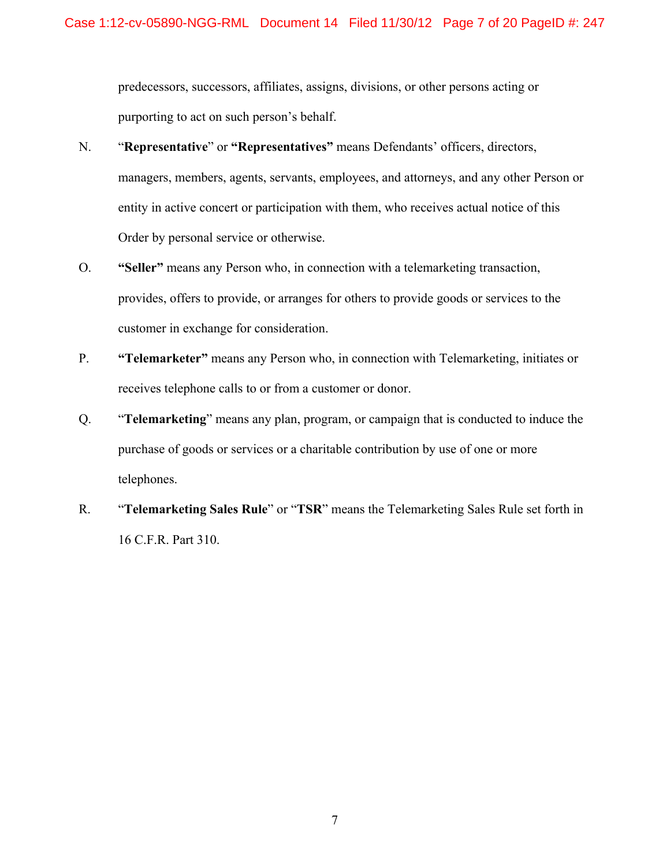predecessors, successors, affiliates, assigns, divisions, or other persons acting or purporting to act on such person's behalf.

- N. "**Representative**" or **"Representatives"** means Defendants' officers, directors, managers, members, agents, servants, employees, and attorneys, and any other Person or entity in active concert or participation with them, who receives actual notice of this Order by personal service or otherwise.
- O. **"Seller"** means any Person who, in connection with a telemarketing transaction, provides, offers to provide, or arranges for others to provide goods or services to the customer in exchange for consideration.
- P. **"Telemarketer"** means any Person who, in connection with Telemarketing, initiates or receives telephone calls to or from a customer or donor.
- Q. "**Telemarketing**" means any plan, program, or campaign that is conducted to induce the purchase of goods or services or a charitable contribution by use of one or more telephones.
- R. "**Telemarketing Sales Rule**" or "**TSR**" means the Telemarketing Sales Rule set forth in 16 C.F.R. Part 310.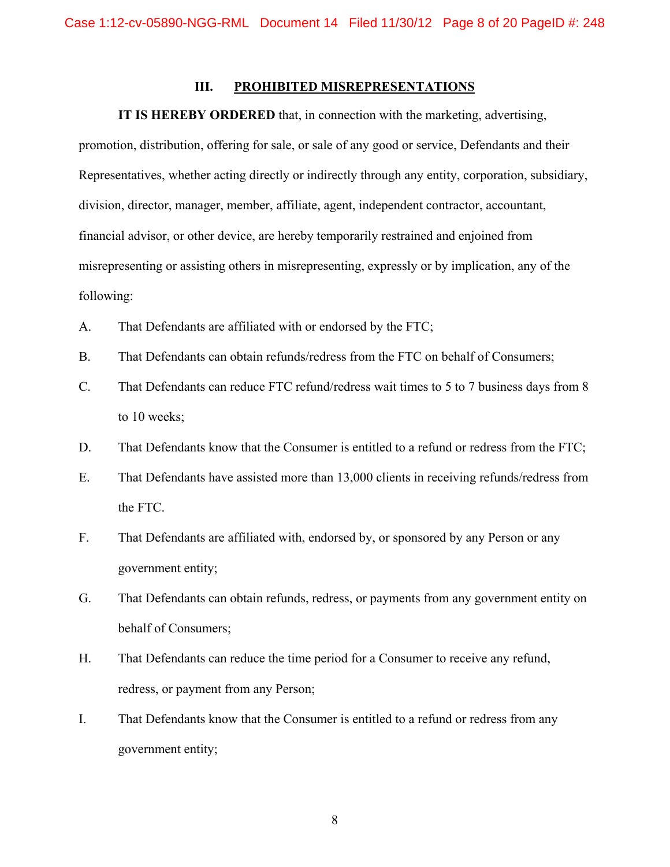### **III. PROHIBITED MISREPRESENTATIONS**

#### **IT IS HEREBY ORDERED** that, in connection with the marketing, advertising,

promotion, distribution, offering for sale, or sale of any good or service, Defendants and their Representatives, whether acting directly or indirectly through any entity, corporation, subsidiary, division, director, manager, member, affiliate, agent, independent contractor, accountant, financial advisor, or other device, are hereby temporarily restrained and enjoined from misrepresenting or assisting others in misrepresenting, expressly or by implication, any of the following:

- A. That Defendants are affiliated with or endorsed by the FTC;
- B. That Defendants can obtain refunds/redress from the FTC on behalf of Consumers;
- C. That Defendants can reduce FTC refund/redress wait times to 5 to 7 business days from 8 to 10 weeks;
- D. That Defendants know that the Consumer is entitled to a refund or redress from the FTC;
- E. That Defendants have assisted more than 13,000 clients in receiving refunds/redress from the FTC.
- F. That Defendants are affiliated with, endorsed by, or sponsored by any Person or any government entity;
- G. That Defendants can obtain refunds, redress, or payments from any government entity on behalf of Consumers;
- H. That Defendants can reduce the time period for a Consumer to receive any refund, redress, or payment from any Person;
- I. That Defendants know that the Consumer is entitled to a refund or redress from any government entity;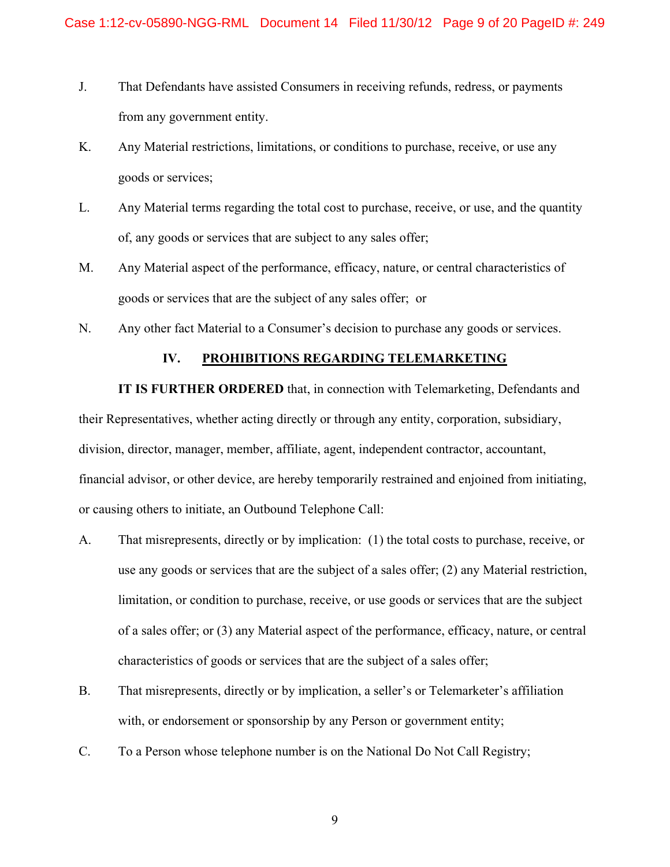- J. That Defendants have assisted Consumers in receiving refunds, redress, or payments from any government entity.
- K. Any Material restrictions, limitations, or conditions to purchase, receive, or use any goods or services;
- L. Any Material terms regarding the total cost to purchase, receive, or use, and the quantity of, any goods or services that are subject to any sales offer;
- M. Any Material aspect of the performance, efficacy, nature, or central characteristics of goods or services that are the subject of any sales offer; or
- N. Any other fact Material to a Consumer's decision to purchase any goods or services.

### **IV. PROHIBITIONS REGARDING TELEMARKETING**

**IT IS FURTHER ORDERED** that, in connection with Telemarketing, Defendants and their Representatives, whether acting directly or through any entity, corporation, subsidiary, division, director, manager, member, affiliate, agent, independent contractor, accountant, financial advisor, or other device, are hereby temporarily restrained and enjoined from initiating, or causing others to initiate, an Outbound Telephone Call:

- A. That misrepresents, directly or by implication: (1) the total costs to purchase, receive, or use any goods or services that are the subject of a sales offer; (2) any Material restriction, limitation, or condition to purchase, receive, or use goods or services that are the subject of a sales offer; or (3) any Material aspect of the performance, efficacy, nature, or central characteristics of goods or services that are the subject of a sales offer;
- B. That misrepresents, directly or by implication, a seller's or Telemarketer's affiliation with, or endorsement or sponsorship by any Person or government entity;
- C. To a Person whose telephone number is on the National Do Not Call Registry;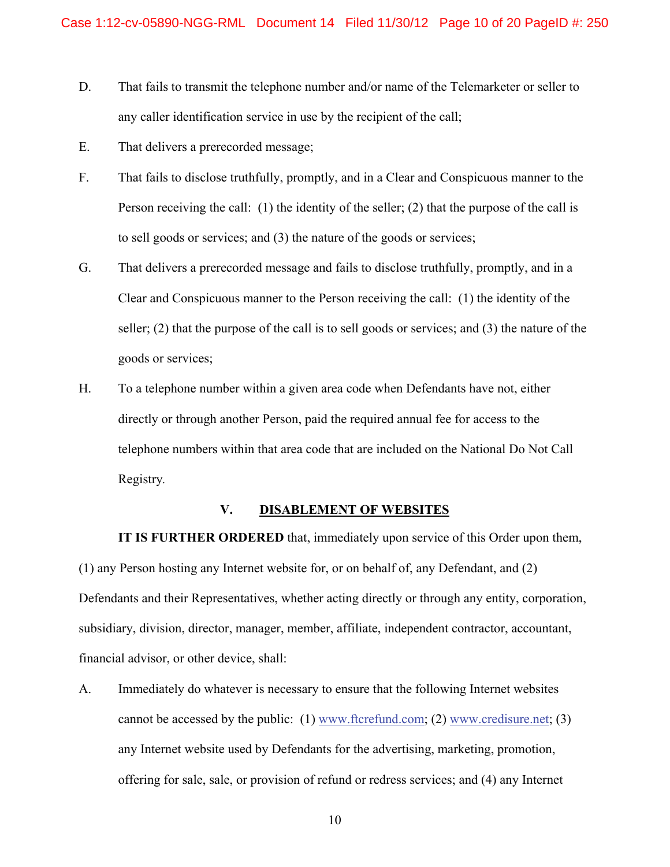- D. That fails to transmit the telephone number and/or name of the Telemarketer or seller to any caller identification service in use by the recipient of the call;
- E. That delivers a prerecorded message;
- F. That fails to disclose truthfully, promptly, and in a Clear and Conspicuous manner to the Person receiving the call: (1) the identity of the seller; (2) that the purpose of the call is to sell goods or services; and (3) the nature of the goods or services;
- G. That delivers a prerecorded message and fails to disclose truthfully, promptly, and in a Clear and Conspicuous manner to the Person receiving the call: (1) the identity of the seller; (2) that the purpose of the call is to sell goods or services; and (3) the nature of the goods or services;
- H. To a telephone number within a given area code when Defendants have not, either directly or through another Person, paid the required annual fee for access to the telephone numbers within that area code that are included on the National Do Not Call Registry*.*

#### **V. DISABLEMENT OF WEBSITES**

**IT IS FURTHER ORDERED** that, immediately upon service of this Order upon them,

(1) any Person hosting any Internet website for, or on behalf of, any Defendant, and (2) Defendants and their Representatives, whether acting directly or through any entity, corporation, subsidiary, division, director, manager, member, affiliate, independent contractor, accountant, financial advisor, or other device, shall:

A. Immediately do whatever is necessary to ensure that the following Internet websites cannot be accessed by the public:  $(1)$  www.ftcrefund.com;  $(2)$  www.credisure.net;  $(3)$ any Internet website used by Defendants for the advertising, marketing, promotion, offering for sale, sale, or provision of refund or redress services; and (4) any Internet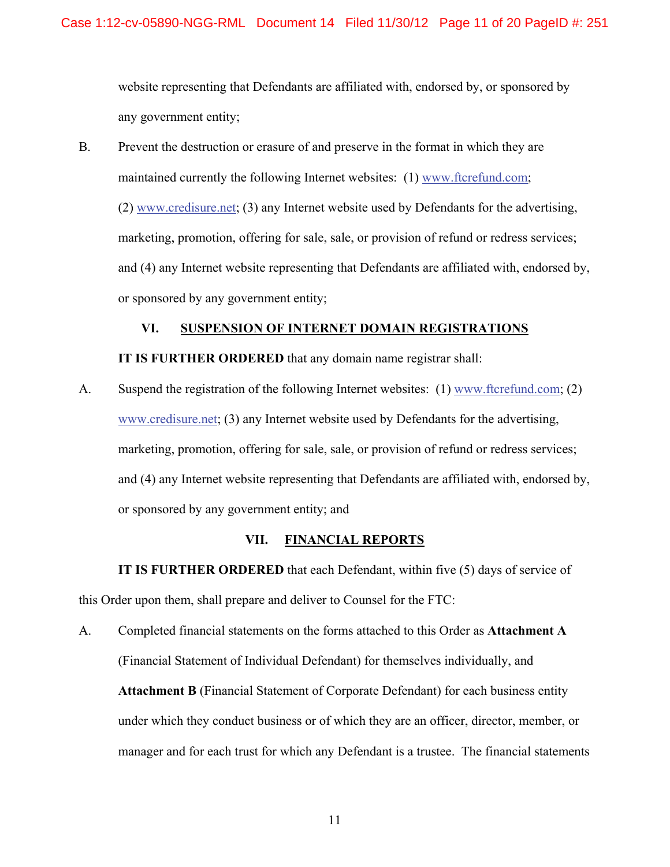website representing that Defendants are affiliated with, endorsed by, or sponsored by any government entity;

B. Prevent the destruction or erasure of and preserve in the format in which they are maintained currently the following Internet websites: (1) www.ftcrefund.com; (2) www.credisure.net; (3) any Internet website used by Defendants for the advertising, marketing, promotion, offering for sale, sale, or provision of refund or redress services; and (4) any Internet website representing that Defendants are affiliated with, endorsed by, or sponsored by any government entity;

# **VI. SUSPENSION OF INTERNET DOMAIN REGISTRATIONS**

## **IT IS FURTHER ORDERED** that any domain name registrar shall:

A. Suspend the registration of the following Internet websites: (1) www.ftcrefund.com; (2) www.credisure.net; (3) any Internet website used by Defendants for the advertising, marketing, promotion, offering for sale, sale, or provision of refund or redress services; and (4) any Internet website representing that Defendants are affiliated with, endorsed by, or sponsored by any government entity; and

### **VII. FINANCIAL REPORTS**

**IT IS FURTHER ORDERED** that each Defendant, within five (5) days of service of this Order upon them, shall prepare and deliver to Counsel for the FTC:

A. Completed financial statements on the forms attached to this Order as **Attachment A** (Financial Statement of Individual Defendant) for themselves individually, and **Attachment B** (Financial Statement of Corporate Defendant) for each business entity under which they conduct business or of which they are an officer, director, member, or manager and for each trust for which any Defendant is a trustee. The financial statements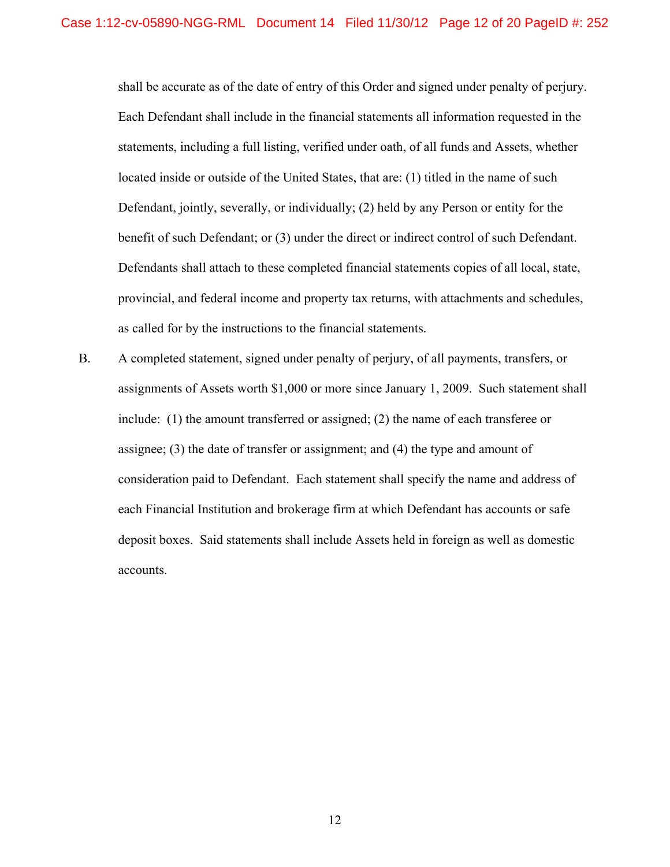shall be accurate as of the date of entry of this Order and signed under penalty of perjury. Each Defendant shall include in the financial statements all information requested in the statements, including a full listing, verified under oath, of all funds and Assets, whether located inside or outside of the United States, that are: (1) titled in the name of such Defendant, jointly, severally, or individually; (2) held by any Person or entity for the benefit of such Defendant; or (3) under the direct or indirect control of such Defendant. Defendants shall attach to these completed financial statements copies of all local, state, provincial, and federal income and property tax returns, with attachments and schedules, as called for by the instructions to the financial statements.

B. A completed statement, signed under penalty of perjury, of all payments, transfers, or assignments of Assets worth \$1,000 or more since January 1, 2009. Such statement shall include: (1) the amount transferred or assigned; (2) the name of each transferee or assignee; (3) the date of transfer or assignment; and (4) the type and amount of consideration paid to Defendant. Each statement shall specify the name and address of each Financial Institution and brokerage firm at which Defendant has accounts or safe deposit boxes. Said statements shall include Assets held in foreign as well as domestic accounts.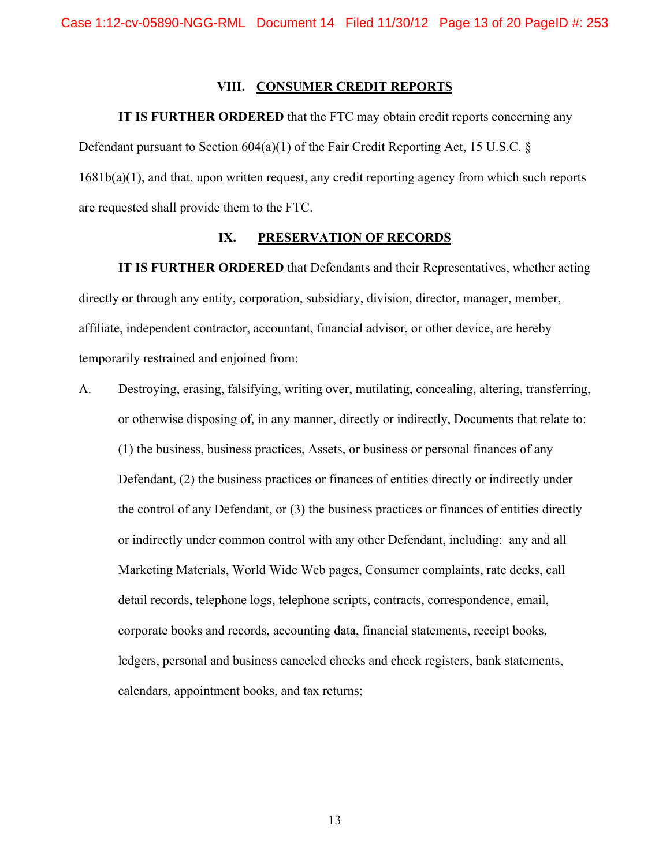#### **VIII. CONSUMER CREDIT REPORTS**

**IT IS FURTHER ORDERED** that the FTC may obtain credit reports concerning any Defendant pursuant to Section 604(a)(1) of the Fair Credit Reporting Act, 15 U.S.C. § 1681b(a)(1), and that, upon written request, any credit reporting agency from which such reports are requested shall provide them to the FTC.

#### **IX. PRESERVATION OF RECORDS**

 **IT IS FURTHER ORDERED** that Defendants and their Representatives, whether acting directly or through any entity, corporation, subsidiary, division, director, manager, member, affiliate, independent contractor, accountant, financial advisor, or other device, are hereby temporarily restrained and enjoined from:

A. Destroying, erasing, falsifying, writing over, mutilating, concealing, altering, transferring, or otherwise disposing of, in any manner, directly or indirectly, Documents that relate to: (1) the business, business practices, Assets, or business or personal finances of any Defendant, (2) the business practices or finances of entities directly or indirectly under the control of any Defendant, or (3) the business practices or finances of entities directly or indirectly under common control with any other Defendant, including: any and all Marketing Materials, World Wide Web pages, Consumer complaints, rate decks, call detail records, telephone logs, telephone scripts, contracts, correspondence, email, corporate books and records, accounting data, financial statements, receipt books, ledgers, personal and business canceled checks and check registers, bank statements, calendars, appointment books, and tax returns;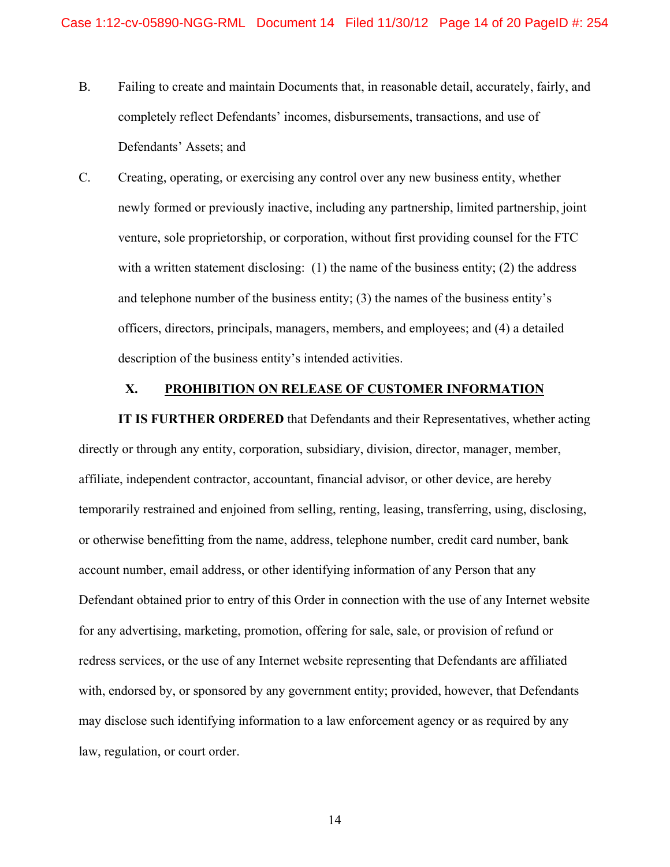- B. Failing to create and maintain Documents that, in reasonable detail, accurately, fairly, and completely reflect Defendants' incomes, disbursements, transactions, and use of Defendants' Assets; and
- C. Creating, operating, or exercising any control over any new business entity, whether newly formed or previously inactive, including any partnership, limited partnership, joint venture, sole proprietorship, or corporation, without first providing counsel for the FTC with a written statement disclosing: (1) the name of the business entity; (2) the address and telephone number of the business entity; (3) the names of the business entity's officers, directors, principals, managers, members, and employees; and (4) a detailed description of the business entity's intended activities.

#### **X. PROHIBITION ON RELEASE OF CUSTOMER INFORMATION**

**IT IS FURTHER ORDERED** that Defendants and their Representatives, whether acting directly or through any entity, corporation, subsidiary, division, director, manager, member, affiliate, independent contractor, accountant, financial advisor, or other device, are hereby temporarily restrained and enjoined from selling, renting, leasing, transferring, using, disclosing, or otherwise benefitting from the name, address, telephone number, credit card number, bank account number, email address, or other identifying information of any Person that any Defendant obtained prior to entry of this Order in connection with the use of any Internet website for any advertising, marketing, promotion, offering for sale, sale, or provision of refund or redress services, or the use of any Internet website representing that Defendants are affiliated with, endorsed by, or sponsored by any government entity; provided, however, that Defendants may disclose such identifying information to a law enforcement agency or as required by any law, regulation, or court order.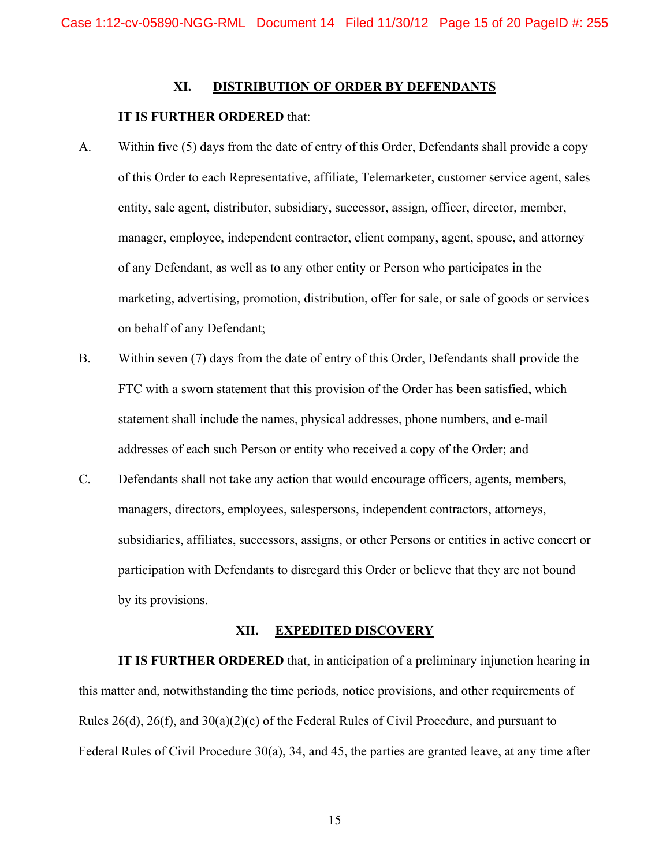### **XI. DISTRIBUTION OF ORDER BY DEFENDANTS**

### **IT IS FURTHER ORDERED** that:

- A. Within five (5) days from the date of entry of this Order, Defendants shall provide a copy of this Order to each Representative, affiliate, Telemarketer, customer service agent, sales entity, sale agent, distributor, subsidiary, successor, assign, officer, director, member, manager, employee, independent contractor, client company, agent, spouse, and attorney of any Defendant, as well as to any other entity or Person who participates in the marketing, advertising, promotion, distribution, offer for sale, or sale of goods or services on behalf of any Defendant;
- B. Within seven (7) days from the date of entry of this Order, Defendants shall provide the FTC with a sworn statement that this provision of the Order has been satisfied, which statement shall include the names, physical addresses, phone numbers, and e-mail addresses of each such Person or entity who received a copy of the Order; and
- C. Defendants shall not take any action that would encourage officers, agents, members, managers, directors, employees, salespersons, independent contractors, attorneys, subsidiaries, affiliates, successors, assigns, or other Persons or entities in active concert or participation with Defendants to disregard this Order or believe that they are not bound by its provisions.

#### **XII. EXPEDITED DISCOVERY**

**IT IS FURTHER ORDERED** that, in anticipation of a preliminary injunction hearing in this matter and, notwithstanding the time periods, notice provisions, and other requirements of Rules 26(d), 26(f), and 30(a)(2)(c) of the Federal Rules of Civil Procedure, and pursuant to Federal Rules of Civil Procedure 30(a), 34, and 45, the parties are granted leave, at any time after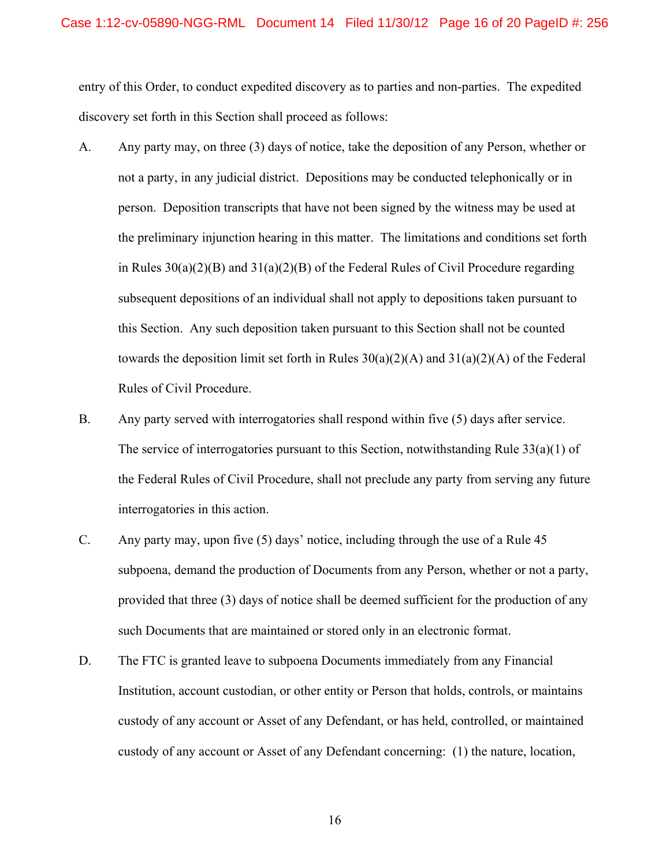entry of this Order, to conduct expedited discovery as to parties and non-parties. The expedited discovery set forth in this Section shall proceed as follows:

- A. Any party may, on three (3) days of notice, take the deposition of any Person, whether or not a party, in any judicial district. Depositions may be conducted telephonically or in person. Deposition transcripts that have not been signed by the witness may be used at the preliminary injunction hearing in this matter. The limitations and conditions set forth in Rules 30(a)(2)(B) and 31(a)(2)(B) of the Federal Rules of Civil Procedure regarding subsequent depositions of an individual shall not apply to depositions taken pursuant to this Section. Any such deposition taken pursuant to this Section shall not be counted towards the deposition limit set forth in Rules  $30(a)(2)(A)$  and  $31(a)(2)(A)$  of the Federal Rules of Civil Procedure.
- B. Any party served with interrogatories shall respond within five (5) days after service. The service of interrogatories pursuant to this Section, notwithstanding Rule 33(a)(1) of the Federal Rules of Civil Procedure, shall not preclude any party from serving any future interrogatories in this action.
- C. Any party may, upon five (5) days' notice, including through the use of a Rule 45 subpoena, demand the production of Documents from any Person, whether or not a party, provided that three (3) days of notice shall be deemed sufficient for the production of any such Documents that are maintained or stored only in an electronic format.
- D. The FTC is granted leave to subpoena Documents immediately from any Financial Institution, account custodian, or other entity or Person that holds, controls, or maintains custody of any account or Asset of any Defendant, or has held, controlled, or maintained custody of any account or Asset of any Defendant concerning: (1) the nature, location,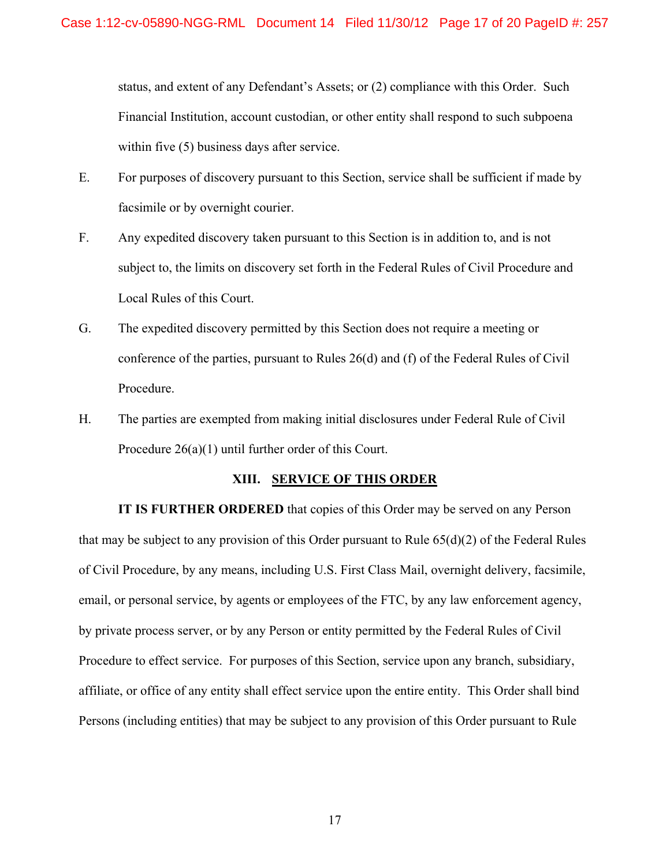status, and extent of any Defendant's Assets; or (2) compliance with this Order. Such Financial Institution, account custodian, or other entity shall respond to such subpoena within five (5) business days after service.

- E. For purposes of discovery pursuant to this Section, service shall be sufficient if made by facsimile or by overnight courier.
- F. Any expedited discovery taken pursuant to this Section is in addition to, and is not subject to, the limits on discovery set forth in the Federal Rules of Civil Procedure and Local Rules of this Court.
- G. The expedited discovery permitted by this Section does not require a meeting or conference of the parties, pursuant to Rules 26(d) and (f) of the Federal Rules of Civil Procedure.
- H. The parties are exempted from making initial disclosures under Federal Rule of Civil Procedure 26(a)(1) until further order of this Court.

### **XIII. SERVICE OF THIS ORDER**

**IT IS FURTHER ORDERED** that copies of this Order may be served on any Person that may be subject to any provision of this Order pursuant to Rule 65(d)(2) of the Federal Rules of Civil Procedure, by any means, including U.S. First Class Mail, overnight delivery, facsimile, email, or personal service, by agents or employees of the FTC, by any law enforcement agency, by private process server, or by any Person or entity permitted by the Federal Rules of Civil Procedure to effect service. For purposes of this Section, service upon any branch, subsidiary, affiliate, or office of any entity shall effect service upon the entire entity. This Order shall bind Persons (including entities) that may be subject to any provision of this Order pursuant to Rule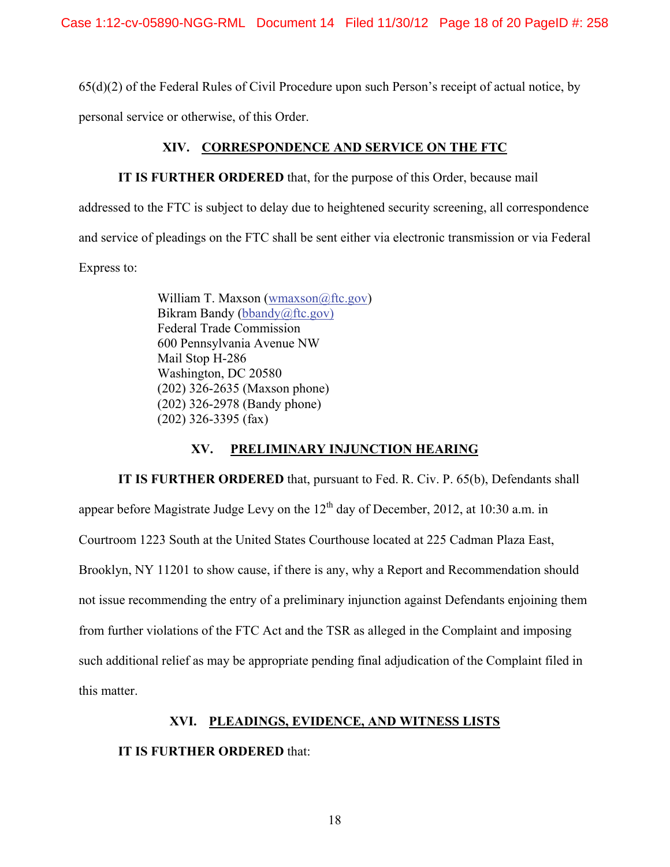65(d)(2) of the Federal Rules of Civil Procedure upon such Person's receipt of actual notice, by

personal service or otherwise, of this Order.

# **XIV. CORRESPONDENCE AND SERVICE ON THE FTC**

## **IT IS FURTHER ORDERED** that, for the purpose of this Order, because mail

addressed to the FTC is subject to delay due to heightened security screening, all correspondence and service of pleadings on the FTC shall be sent either via electronic transmission or via Federal Express to:

> William T. Maxson (wmaxson@ftc.gov) Bikram Bandy (bbandy@ftc.gov) Federal Trade Commission 600 Pennsylvania Avenue NW Mail Stop H-286 Washington, DC 20580 (202) 326-2635 (Maxson phone) (202) 326-2978 (Bandy phone) (202) 326-3395 (fax)

# **XV. PRELIMINARY INJUNCTION HEARING**

**IT IS FURTHER ORDERED** that, pursuant to Fed. R. Civ. P. 65(b), Defendants shall appear before Magistrate Judge Levy on the  $12<sup>th</sup>$  day of December, 2012, at 10:30 a.m. in Courtroom 1223 South at the United States Courthouse located at 225 Cadman Plaza East, Brooklyn, NY 11201 to show cause, if there is any, why a Report and Recommendation should not issue recommending the entry of a preliminary injunction against Defendants enjoining them from further violations of the FTC Act and the TSR as alleged in the Complaint and imposing such additional relief as may be appropriate pending final adjudication of the Complaint filed in this matter.

# **XVI. PLEADINGS, EVIDENCE, AND WITNESS LISTS**

### **IT IS FURTHER ORDERED** that: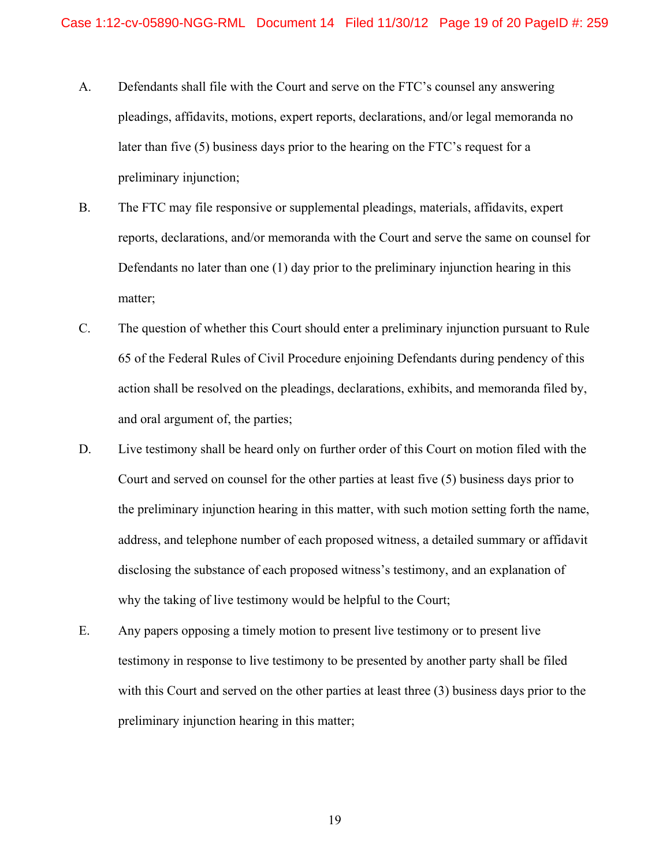- A. Defendants shall file with the Court and serve on the FTC's counsel any answering pleadings, affidavits, motions, expert reports, declarations, and/or legal memoranda no later than five (5) business days prior to the hearing on the FTC's request for a preliminary injunction;
- B. The FTC may file responsive or supplemental pleadings, materials, affidavits, expert reports, declarations, and/or memoranda with the Court and serve the same on counsel for Defendants no later than one (1) day prior to the preliminary injunction hearing in this matter;
- C. The question of whether this Court should enter a preliminary injunction pursuant to Rule 65 of the Federal Rules of Civil Procedure enjoining Defendants during pendency of this action shall be resolved on the pleadings, declarations, exhibits, and memoranda filed by, and oral argument of, the parties;
- D. Live testimony shall be heard only on further order of this Court on motion filed with the Court and served on counsel for the other parties at least five (5) business days prior to the preliminary injunction hearing in this matter, with such motion setting forth the name, address, and telephone number of each proposed witness, a detailed summary or affidavit disclosing the substance of each proposed witness's testimony, and an explanation of why the taking of live testimony would be helpful to the Court;
- E. Any papers opposing a timely motion to present live testimony or to present live testimony in response to live testimony to be presented by another party shall be filed with this Court and served on the other parties at least three (3) business days prior to the preliminary injunction hearing in this matter;